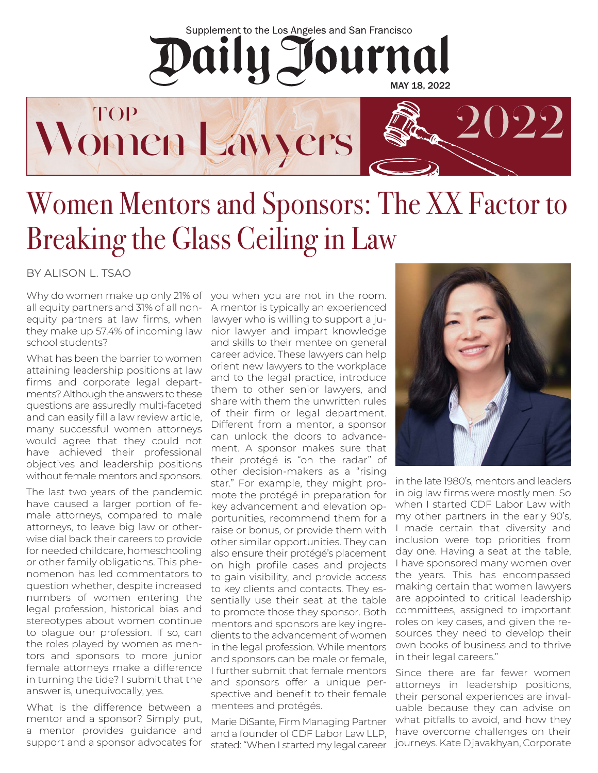## Supplement to the Los Angeles and San Francisco Daily Tournal MAY 18, 2022

**TOP** Women Lawyers



## Women Mentors and Sponsors: The XX Factor to Breaking the Glass Ceiling in Law

BY ALISON L. TSAO

Why do women make up only 21% of you when you are not in the room. all equity partners and 31% of all nonequity partners at law firms, when they make up 57.4% of incoming law school students?

What has been the barrier to women attaining leadership positions at law firms and corporate legal departments? Although the answers to these questions are assuredly multi-faceted and can easily fill a law review article, many successful women attorneys would agree that they could not have achieved their professional objectives and leadership positions without female mentors and sponsors.

The last two years of the pandemic have caused a larger portion of female attorneys, compared to male attorneys, to leave big law or otherwise dial back their careers to provide for needed childcare, homeschooling or other family obligations. This phenomenon has led commentators to question whether, despite increased numbers of women entering the legal profession, historical bias and stereotypes about women continue to plague our profession. If so, can the roles played by women as mentors and sponsors to more junior female attorneys make a difference in turning the tide? I submit that the answer is, unequivocally, yes.

What is the difference between a mentor and a sponsor? Simply put, a mentor provides guidance and support and a sponsor advocates for

A mentor is typically an experienced lawyer who is willing to support a junior lawyer and impart knowledge and skills to their mentee on general career advice. These lawyers can help orient new lawyers to the workplace and to the legal practice, introduce them to other senior lawyers, and share with them the unwritten rules of their firm or legal department. Different from a mentor, a sponsor can unlock the doors to advancement. A sponsor makes sure that their protégé is "on the radar" of other decision-makers as a "rising star." For example, they might promote the protégé in preparation for key advancement and elevation opportunities, recommend them for a raise or bonus, or provide them with other similar opportunities. They can also ensure their protégé's placement on high profile cases and projects to gain visibility, and provide access to key clients and contacts. They essentially use their seat at the table to promote those they sponsor. Both mentors and sponsors are key ingredients to the advancement of women in the legal profession. While mentors and sponsors can be male or female, I further submit that female mentors and sponsors offer a unique perspective and benefit to their female mentees and protégés.

Marie DiSante, Firm Managing Partner and a founder of CDF Labor Law LLP, stated: "When I started my legal career



in the late 1980's, mentors and leaders in big law firms were mostly men. So when I started CDF Labor Law with my other partners in the early 90's, I made certain that diversity and inclusion were top priorities from day one. Having a seat at the table, I have sponsored many women over the years. This has encompassed making certain that women lawyers are appointed to critical leadership committees, assigned to important roles on key cases, and given the resources they need to develop their own books of business and to thrive in their legal careers."

Since there are far fewer women attorneys in leadership positions, their personal experiences are invaluable because they can advise on what pitfalls to avoid, and how they have overcome challenges on their journeys. Kate Djavakhyan, Corporate